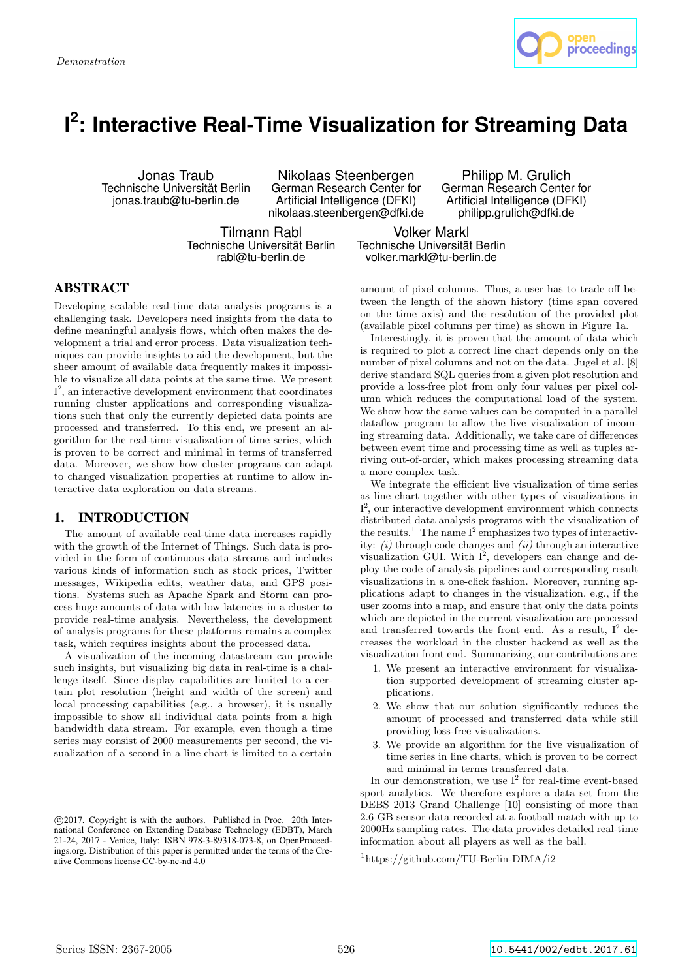

# **I 2 : Interactive Real-Time Visualization for Streaming Data**

Jonas Traub Technische Universität Berlin jonas.traub@tu-berlin.de

Nikolaas Steenbergen German Research Center for Artificial Intelligence (DFKI) nikolaas.steenbergen@dfki.de

Tilmann Rabl Technische Universität Berlin rabl@tu-berlin.de

Volker Markl Technische Universität Berlin volker.markl@tu-berlin.de

#### ABSTRACT

Developing scalable real-time data analysis programs is a challenging task. Developers need insights from the data to define meaningful analysis flows, which often makes the development a trial and error process. Data visualization techniques can provide insights to aid the development, but the sheer amount of available data frequently makes it impossible to visualize all data points at the same time. We present I 2 , an interactive development environment that coordinates running cluster applications and corresponding visualizations such that only the currently depicted data points are processed and transferred. To this end, we present an algorithm for the real-time visualization of time series, which is proven to be correct and minimal in terms of transferred data. Moreover, we show how cluster programs can adapt to changed visualization properties at runtime to allow interactive data exploration on data streams.

#### 1. INTRODUCTION

The amount of available real-time data increases rapidly with the growth of the Internet of Things. Such data is provided in the form of continuous data streams and includes various kinds of information such as stock prices, Twitter messages, Wikipedia edits, weather data, and GPS positions. Systems such as Apache Spark and Storm can process huge amounts of data with low latencies in a cluster to provide real-time analysis. Nevertheless, the development of analysis programs for these platforms remains a complex task, which requires insights about the processed data.

A visualization of the incoming datastream can provide such insights, but visualizing big data in real-time is a challenge itself. Since display capabilities are limited to a certain plot resolution (height and width of the screen) and local processing capabilities (e.g., a browser), it is usually impossible to show all individual data points from a high bandwidth data stream. For example, even though a time series may consist of 2000 measurements per second, the visualization of a second in a line chart is limited to a certain

amount of pixel columns. Thus, a user has to trade off between the length of the shown history (time span covered on the time axis) and the resolution of the provided plot (available pixel columns per time) as shown in Figure 1a.

Philipp M. Grulich German Research Center for Artificial Intelligence (DFKI) philipp.grulich@dfki.de

Interestingly, it is proven that the amount of data which is required to plot a correct line chart depends only on the number of pixel columns and not on the data. Jugel et al. [8] derive standard SQL queries from a given plot resolution and provide a loss-free plot from only four values per pixel column which reduces the computational load of the system. We show how the same values can be computed in a parallel dataflow program to allow the live visualization of incoming streaming data. Additionally, we take care of differences between event time and processing time as well as tuples arriving out-of-order, which makes processing streaming data a more complex task.

We integrate the efficient live visualization of time series as line chart together with other types of visualizations in I 2 , our interactive development environment which connects distributed data analysis programs with the visualization of the results.<sup>1</sup> The name  $I^2$  emphasizes two types of interactivity:  $(i)$  through code changes and  $(ii)$  through an interactive visualization GUI. With  $I^2$ , developers can change and deploy the code of analysis pipelines and corresponding result visualizations in a one-click fashion. Moreover, running applications adapt to changes in the visualization, e.g., if the user zooms into a map, and ensure that only the data points which are depicted in the current visualization are processed and transferred towards the front end. As a result,  $I^2$  decreases the workload in the cluster backend as well as the visualization front end. Summarizing, our contributions are:

- 1. We present an interactive environment for visualization supported development of streaming cluster applications.
- 2. We show that our solution significantly reduces the amount of processed and transferred data while still providing loss-free visualizations.
- 3. We provide an algorithm for the live visualization of time series in line charts, which is proven to be correct and minimal in terms transferred data.

In our demonstration, we use  $I^2$  for real-time event-based sport analytics. We therefore explore a data set from the DEBS 2013 Grand Challenge [10] consisting of more than 2.6 GB sensor data recorded at a football match with up to 2000Hz sampling rates. The data provides detailed real-time information about all players as well as the ball.

c 2017, Copyright is with the authors. Published in Proc. 20th International Conference on Extending Database Technology (EDBT), March 21-24, 2017 - Venice, Italy: ISBN 978-3-89318-073-8, on OpenProceedings.org. Distribution of this paper is permitted under the terms of the Creative Commons license CC-by-nc-nd 4.0

<sup>1</sup>https://github.com/TU-Berlin-DIMA/i2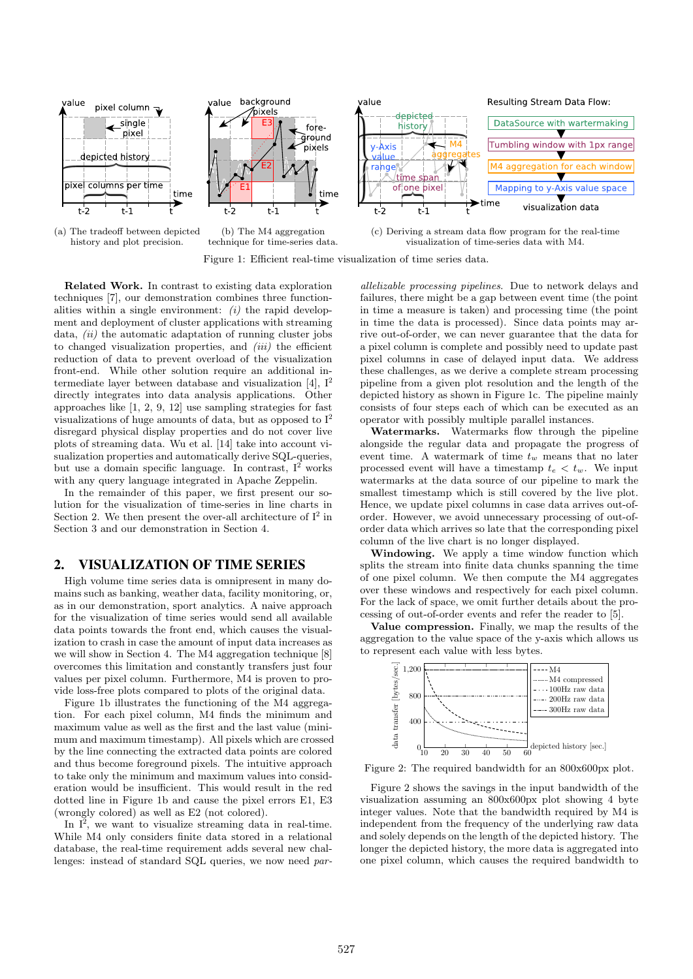



(b) The M4 aggregation technique for time-series data.

(c) Deriving a stream data flow program for the real-time visualization of time-series data with M4.



Related Work. In contrast to existing data exploration techniques [7], our demonstration combines three functionalities within a single environment:  $(i)$  the rapid development and deployment of cluster applications with streaming data, *(ii)* the automatic adaptation of running cluster jobs to changed visualization properties, and  $(iii)$  the efficient reduction of data to prevent overload of the visualization front-end. While other solution require an additional intermediate layer between database and visualization [4],  $I^2$ directly integrates into data analysis applications. Other approaches like [1, 2, 9, 12] use sampling strategies for fast visualizations of huge amounts of data, but as opposed to  $I^2$ disregard physical display properties and do not cover live plots of streaming data. Wu et al. [14] take into account visualization properties and automatically derive SQL-queries, but use a domain specific language. In contrast,  $I^2$  works with any query language integrated in Apache Zeppelin.

In the remainder of this paper, we first present our solution for the visualization of time-series in line charts in Section 2. We then present the over-all architecture of  $I^2$  in Section 3 and our demonstration in Section 4.

#### 2. VISUALIZATION OF TIME SERIES

High volume time series data is omnipresent in many domains such as banking, weather data, facility monitoring, or, as in our demonstration, sport analytics. A naive approach for the visualization of time series would send all available data points towards the front end, which causes the visualization to crash in case the amount of input data increases as we will show in Section 4. The M4 aggregation technique [8] overcomes this limitation and constantly transfers just four values per pixel column. Furthermore, M4 is proven to provide loss-free plots compared to plots of the original data.

Figure 1b illustrates the functioning of the M4 aggregation. For each pixel column, M4 finds the minimum and maximum value as well as the first and the last value (minimum and maximum timestamp). All pixels which are crossed by the line connecting the extracted data points are colored and thus become foreground pixels. The intuitive approach to take only the minimum and maximum values into consideration would be insufficient. This would result in the red dotted line in Figure 1b and cause the pixel errors E1, E3 (wrongly colored) as well as E2 (not colored).

In  $I^2$ , we want to visualize streaming data in real-time. While M4 only considers finite data stored in a relational database, the real-time requirement adds several new challenges: instead of standard SQL queries, we now need parallelizable processing pipelines. Due to network delays and failures, there might be a gap between event time (the point in time a measure is taken) and processing time (the point in time the data is processed). Since data points may arrive out-of-order, we can never guarantee that the data for a pixel column is complete and possibly need to update past pixel columns in case of delayed input data. We address these challenges, as we derive a complete stream processing pipeline from a given plot resolution and the length of the depicted history as shown in Figure 1c. The pipeline mainly consists of four steps each of which can be executed as an operator with possibly multiple parallel instances.

Watermarks. Watermarks flow through the pipeline alongside the regular data and propagate the progress of event time. A watermark of time  $t_w$  means that no later processed event will have a timestamp  $t_e < t_w$ . We input watermarks at the data source of our pipeline to mark the smallest timestamp which is still covered by the live plot. Hence, we update pixel columns in case data arrives out-oforder. However, we avoid unnecessary processing of out-oforder data which arrives so late that the corresponding pixel column of the live chart is no longer displayed.

Windowing. We apply a time window function which splits the stream into finite data chunks spanning the time of one pixel column. We then compute the M4 aggregates over these windows and respectively for each pixel column. For the lack of space, we omit further details about the processing of out-of-order events and refer the reader to [5].

Value compression. Finally, we map the results of the aggregation to the value space of the y-axis which allows us to represent each value with less bytes.



Figure 2: The required bandwidth for an 800x600px plot.

Figure 2 shows the savings in the input bandwidth of the visualization assuming an 800x600px plot showing 4 byte integer values. Note that the bandwidth required by M4 is independent from the frequency of the underlying raw data and solely depends on the length of the depicted history. The longer the depicted history, the more data is aggregated into one pixel column, which causes the required bandwidth to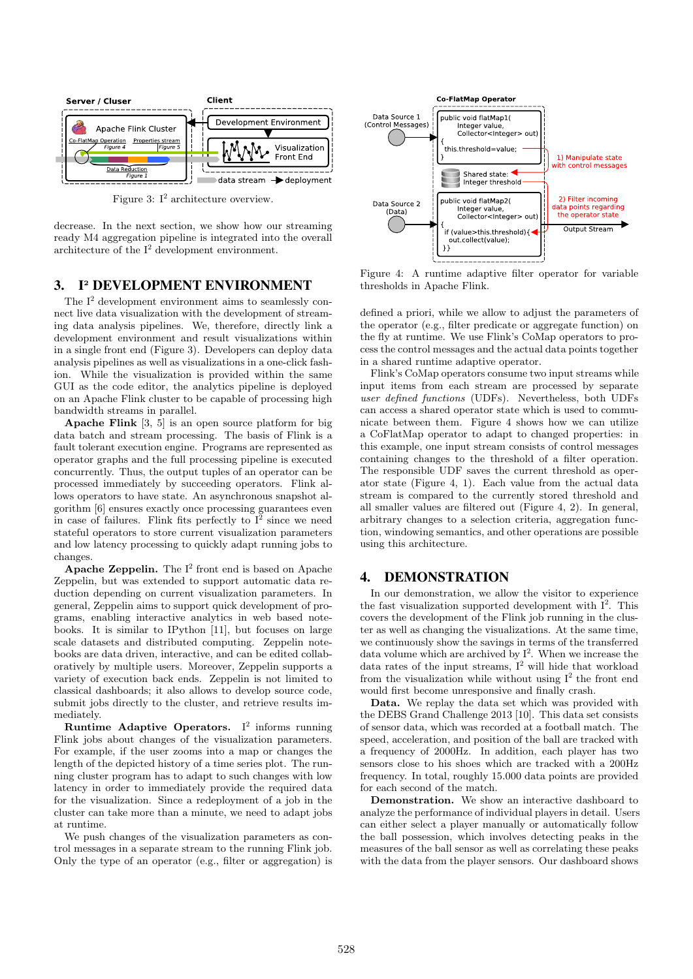

Figure 3:  $I^2$  architecture overview.

decrease. In the next section, we show how our streaming ready M4 aggregation pipeline is integrated into the overall architecture of the  $I^2$  development environment.

#### 3. I<sup>2</sup> DEVELOPMENT ENVIRONMENT

The  $I^2$  development environment aims to seamlessly connect live data visualization with the development of streaming data analysis pipelines. We, therefore, directly link a development environment and result visualizations within in a single front end (Figure 3). Developers can deploy data analysis pipelines as well as visualizations in a one-click fashion. While the visualization is provided within the same GUI as the code editor, the analytics pipeline is deployed on an Apache Flink cluster to be capable of processing high bandwidth streams in parallel.

Apache Flink [3, 5] is an open source platform for big data batch and stream processing. The basis of Flink is a fault tolerant execution engine. Programs are represented as operator graphs and the full processing pipeline is executed concurrently. Thus, the output tuples of an operator can be processed immediately by succeeding operators. Flink allows operators to have state. An asynchronous snapshot algorithm [6] ensures exactly once processing guarantees even in case of failures. Flink fits perfectly to  $I^2$  since we need stateful operators to store current visualization parameters and low latency processing to quickly adapt running jobs to changes.

Apache Zeppelin. The  $I^2$  front end is based on Apache Zeppelin, but was extended to support automatic data reduction depending on current visualization parameters. In general, Zeppelin aims to support quick development of programs, enabling interactive analytics in web based notebooks. It is similar to IPython [11], but focuses on large scale datasets and distributed computing. Zeppelin notebooks are data driven, interactive, and can be edited collaboratively by multiple users. Moreover, Zeppelin supports a variety of execution back ends. Zeppelin is not limited to classical dashboards; it also allows to develop source code, submit jobs directly to the cluster, and retrieve results immediately.

Runtime Adaptive Operators.  $I^2$  informs running Flink jobs about changes of the visualization parameters. For example, if the user zooms into a map or changes the length of the depicted history of a time series plot. The running cluster program has to adapt to such changes with low latency in order to immediately provide the required data for the visualization. Since a redeployment of a job in the cluster can take more than a minute, we need to adapt jobs at runtime.

We push changes of the visualization parameters as control messages in a separate stream to the running Flink job. Only the type of an operator (e.g., filter or aggregation) is



Figure 4: A runtime adaptive filter operator for variable thresholds in Apache Flink.

defined a priori, while we allow to adjust the parameters of the operator (e.g., filter predicate or aggregate function) on the fly at runtime. We use Flink's CoMap operators to process the control messages and the actual data points together in a shared runtime adaptive operator.

Flink's CoMap operators consume two input streams while input items from each stream are processed by separate user defined functions (UDFs). Nevertheless, both UDFs can access a shared operator state which is used to communicate between them. Figure 4 shows how we can utilize a CoFlatMap operator to adapt to changed properties: in this example, one input stream consists of control messages containing changes to the threshold of a filter operation. The responsible UDF saves the current threshold as operator state (Figure 4, 1). Each value from the actual data stream is compared to the currently stored threshold and all smaller values are filtered out (Figure 4, 2). In general, arbitrary changes to a selection criteria, aggregation function, windowing semantics, and other operations are possible using this architecture.

#### 4. DEMONSTRATION

In our demonstration, we allow the visitor to experience the fast visualization supported development with  $I^2$ . This covers the development of the Flink job running in the cluster as well as changing the visualizations. At the same time, we continuously show the savings in terms of the transferred data volume which are archived by  $I^2$ . When we increase the data rates of the input streams,  $I^2$  will hide that workload from the visualization while without using  $I^2$  the front end would first become unresponsive and finally crash.

Data. We replay the data set which was provided with the DEBS Grand Challenge 2013 [10]. This data set consists of sensor data, which was recorded at a football match. The speed, acceleration, and position of the ball are tracked with a frequency of 2000Hz. In addition, each player has two sensors close to his shoes which are tracked with a 200Hz frequency. In total, roughly 15.000 data points are provided for each second of the match.

Demonstration. We show an interactive dashboard to analyze the performance of individual players in detail. Users can either select a player manually or automatically follow the ball possession, which involves detecting peaks in the measures of the ball sensor as well as correlating these peaks with the data from the player sensors. Our dashboard shows